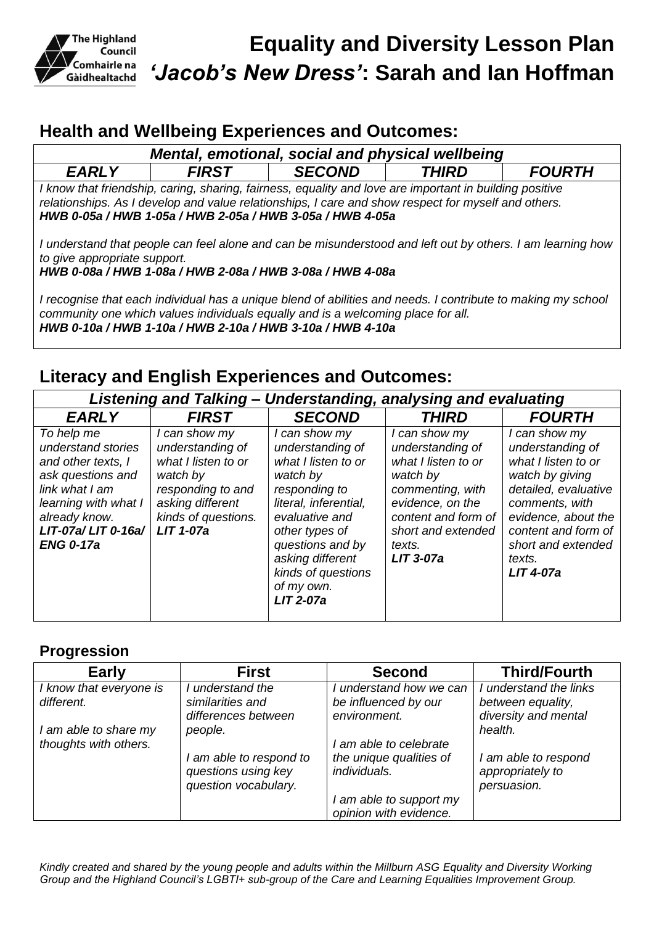

# **Health and Wellbeing Experiences and Outcomes:**

| Mental, emotional, social and physical wellbeing                                                                                                                                                                                                                            |              |               |                     |               |  |  |  |
|-----------------------------------------------------------------------------------------------------------------------------------------------------------------------------------------------------------------------------------------------------------------------------|--------------|---------------|---------------------|---------------|--|--|--|
| <b>EARLY</b>                                                                                                                                                                                                                                                                | <b>FIRST</b> | <b>SECOND</b> | <i><b>THIRD</b></i> | <b>FOURTH</b> |  |  |  |
| I know that friendship, caring, sharing, fairness, equality and love are important in building positive<br>relationships. As I develop and value relationships, I care and show respect for myself and others.<br>HWB 0-05a / HWB 1-05a / HWB 2-05a / HWB 3-05a / HWB 4-05a |              |               |                     |               |  |  |  |
| I understand that people can feel alone and can be misunderstood and left out by others. I am learning how<br>to give appropriate support.<br>HWB 0-08a / HWB 1-08a / HWB 2-08a / HWB 3-08a / HWB 4-08a                                                                     |              |               |                     |               |  |  |  |
| I recognise that each individual has a unique blend of abilities and needs. I contribute to making my school<br>community one which values individuals equally and is a welcoming place for all.<br>HWB 0-10a / HWB 1-10a / HWB 2-10a / HWB 3-10a / HWB 4-10a               |              |               |                     |               |  |  |  |

# **Literacy and English Experiences and Outcomes:**

| Listening and Talking – Understanding, analysing and evaluating                                                                                                                    |                                                                                                                                                          |                                                                                                                                                                                                                                                    |                                                                                                                                                                                    |                                                                                                                                                                                                                         |  |  |  |
|------------------------------------------------------------------------------------------------------------------------------------------------------------------------------------|----------------------------------------------------------------------------------------------------------------------------------------------------------|----------------------------------------------------------------------------------------------------------------------------------------------------------------------------------------------------------------------------------------------------|------------------------------------------------------------------------------------------------------------------------------------------------------------------------------------|-------------------------------------------------------------------------------------------------------------------------------------------------------------------------------------------------------------------------|--|--|--|
| <b>EARLY</b>                                                                                                                                                                       | <b>FIRST</b>                                                                                                                                             | <b>SECOND</b>                                                                                                                                                                                                                                      | <b>THIRD</b>                                                                                                                                                                       | <b>FOURTH</b>                                                                                                                                                                                                           |  |  |  |
| To help me<br>understand stories<br>and other texts, I<br>ask questions and<br>link what I am<br>learning with what I<br>already know.<br>$LIT-07a/LIT 0-16a/$<br><b>ENG 0-17a</b> | I can show my<br>understanding of<br>what I listen to or<br>watch by<br>responding to and<br>asking different<br>kinds of questions.<br><b>LIT 1-07a</b> | I can show my<br>understanding of<br>what I listen to or<br>watch by<br>responding to<br>literal, inferential,<br>evaluative and<br>other types of<br>questions and by<br>asking different<br>kinds of questions<br>of my own.<br><b>LIT 2-07a</b> | I can show my<br>understanding of<br>what I listen to or<br>watch by<br>commenting, with<br>evidence, on the<br>content and form of<br>short and extended<br>texts.<br>$LIT$ 3-07a | I can show my<br>understanding of<br>what I listen to or<br>watch by giving<br>detailed, evaluative<br>comments, with<br>evidence, about the<br>content and form of<br>short and extended<br>texts.<br><b>LIT 4-07a</b> |  |  |  |

# **Progression**

| <b>Early</b>                                   | <b>First</b>                                                           | <b>Second</b>                                                   | <b>Third/Fourth</b>                                                 |
|------------------------------------------------|------------------------------------------------------------------------|-----------------------------------------------------------------|---------------------------------------------------------------------|
| I know that everyone is<br>different.          | I understand the<br>similarities and<br>differences between            | I understand how we can<br>be influenced by our<br>environment. | I understand the links<br>between equality,<br>diversity and mental |
| I am able to share my<br>thoughts with others. | people.                                                                | I am able to celebrate                                          | health.                                                             |
|                                                | I am able to respond to<br>questions using key<br>question vocabulary. | the unique qualities of<br>individuals.                         | I am able to respond<br>appropriately to<br>persuasion.             |
|                                                |                                                                        | I am able to support my<br>opinion with evidence.               |                                                                     |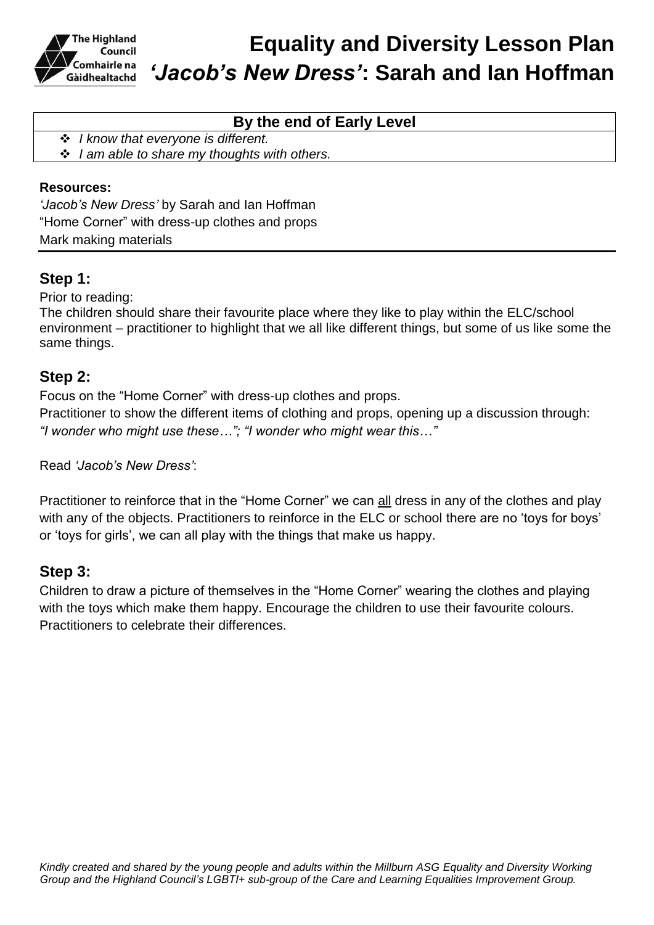

# **Equality and Diversity Lesson Plan** *'Jacob's New Dress'***: Sarah and Ian Hoffman**

## **By the end of Early Level**

*I know that everyone is different.*

*I am able to share my thoughts with others.*

### **Resources:**

*'Jacob's New Dress'* by Sarah and Ian Hoffman "Home Corner" with dress-up clothes and props Mark making materials

### **Step 1:**

Prior to reading:

The children should share their favourite place where they like to play within the ELC/school environment – practitioner to highlight that we all like different things, but some of us like some the same things.

### **Step 2:**

Focus on the "Home Corner" with dress-up clothes and props.

Practitioner to show the different items of clothing and props, opening up a discussion through: *"I wonder who might use these…"; "I wonder who might wear this…"*

Read *'Jacob's New Dress'*:

Practitioner to reinforce that in the "Home Corner" we can all dress in any of the clothes and play with any of the objects. Practitioners to reinforce in the ELC or school there are no 'toys for boys' or 'toys for girls', we can all play with the things that make us happy.

### **Step 3:**

Children to draw a picture of themselves in the "Home Corner" wearing the clothes and playing with the toys which make them happy. Encourage the children to use their favourite colours. Practitioners to celebrate their differences.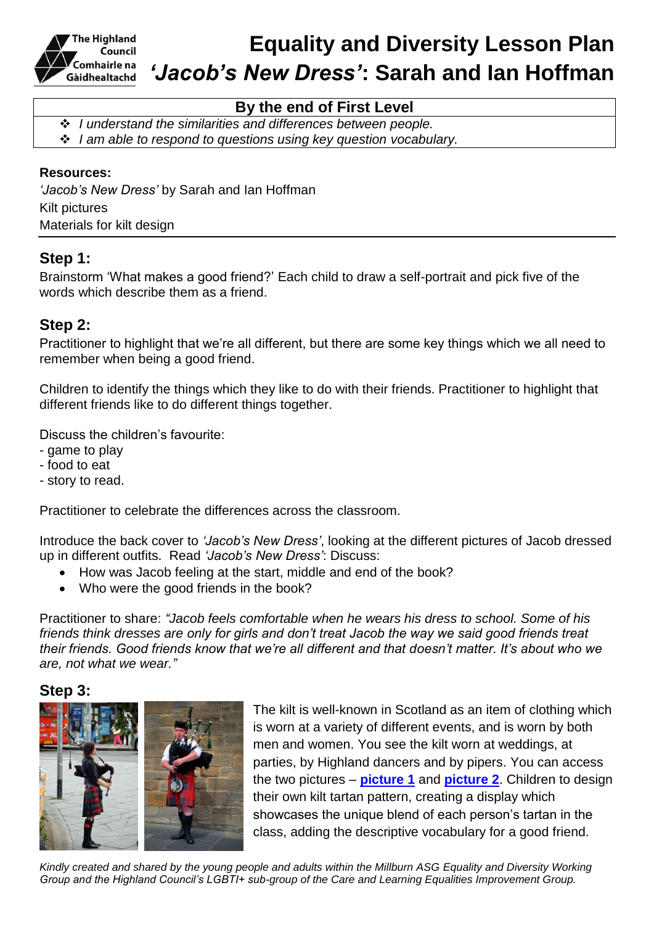

## **By the end of First Level**

 *I understand the similarities and differences between people. I am able to respond to questions using key question vocabulary.*

#### **Resources:**

*'Jacob's New Dress'* by Sarah and Ian Hoffman Kilt pictures Materials for kilt design

### **Step 1:**

Brainstorm 'What makes a good friend?' Each child to draw a self-portrait and pick five of the words which describe them as a friend.

### **Step 2:**

Practitioner to highlight that we're all different, but there are some key things which we all need to remember when being a good friend.

Children to identify the things which they like to do with their friends. Practitioner to highlight that different friends like to do different things together.

Discuss the children's favourite:

- game to play
- food to eat
- story to read.

Practitioner to celebrate the differences across the classroom.

Introduce the back cover to *'Jacob's New Dress'*, looking at the different pictures of Jacob dressed up in different outfits. Read *'Jacob's New Dress'*: Discuss:

- How was Jacob feeling at the start, middle and end of the book?
- Who were the good friends in the book?

Practitioner to share: *"Jacob feels comfortable when he wears his dress to school. Some of his friends think dresses are only for girls and don't treat Jacob the way we said good friends treat their friends. Good friends know that we're all different and that doesn't matter. It's about who we are, not what we wear."*

### **Step 3:**



The kilt is well-known in Scotland as an item of clothing which is worn at a variety of different events, and is worn by both men and women. You see the kilt worn at weddings, at parties, by Highland dancers and by pipers. You can access the two pictures – **[picture 1](https://pixabay.com/en/scotland-england-bagpipes-1607936/)** and **[picture 2](https://pixabay.com/en/bagpipes-kilt-scotland-jock-human-1591714/)**. Children to design their own kilt tartan pattern, creating a display which showcases the unique blend of each person's tartan in the class, adding the descriptive vocabulary for a good friend.

*Kindly created and shared by the young people and adults within the Millburn ASG Equality and Diversity Working Group and the Highland Council's LGBTI+ sub-group of the Care and Learning Equalities Improvement Group.*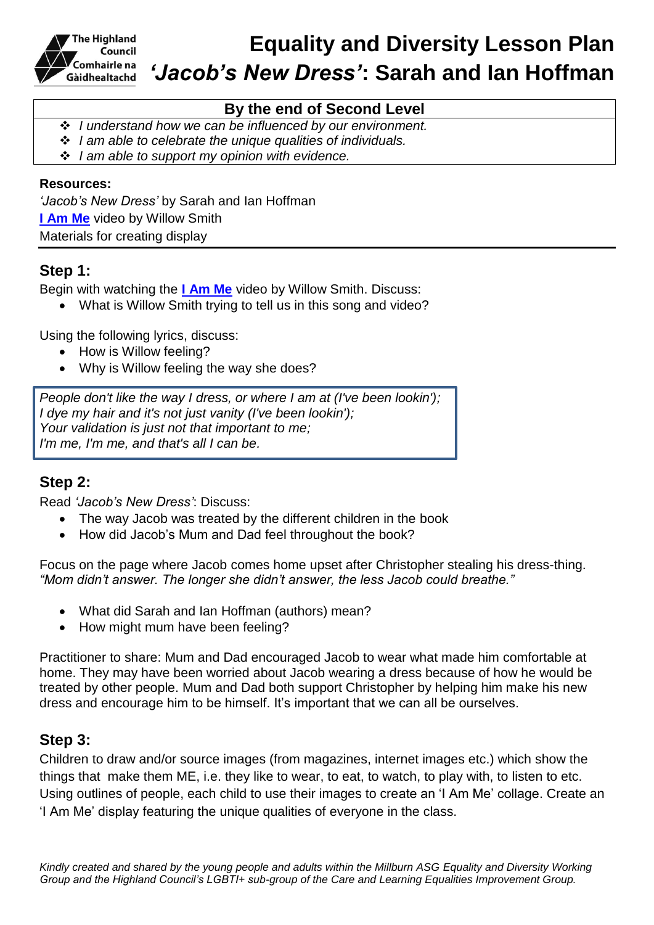

# **Equality and Diversity Lesson Plan** *'Jacob's New Dress'***: Sarah and Ian Hoffman**

## **By the end of Second Level**

*I understand how we can be influenced by our environment.* 

- *I am able to celebrate the unique qualities of individuals.*
- *I am able to support my opinion with evidence.*

#### **Resources:**

*'Jacob's New Dress'* by Sarah and Ian Hoffman **[I Am Me](https://www.youtube.com/watch?v=VUMK4Da9Avg)** video by Willow Smith Materials for creating display

### **Step 1:**

Begin with watching the **[I Am Me](https://www.youtube.com/watch?v=VUMK4Da9Avg)** video by Willow Smith. Discuss:

What is Willow Smith trying to tell us in this song and video?

Using the following lyrics, discuss:

- How is Willow feeling?
- Why is Willow feeling the way she does?

*People don't like the way I dress, or where I am at (I've been lookin'); I dye my hair and it's not just vanity (I've been lookin'); Your validation is just not that important to me; I'm me, I'm me, and that's all I can be.*

### **Step 2:**

Read *'Jacob's New Dress'*: Discuss:

- The way Jacob was treated by the different children in the book
- How did Jacob's Mum and Dad feel throughout the book?

Focus on the page where Jacob comes home upset after Christopher stealing his dress-thing. *"Mom didn't answer. The longer she didn't answer, the less Jacob could breathe."*

- What did Sarah and Ian Hoffman (authors) mean?
- How might mum have been feeling?

Practitioner to share: Mum and Dad encouraged Jacob to wear what made him comfortable at home. They may have been worried about Jacob wearing a dress because of how he would be treated by other people. Mum and Dad both support Christopher by helping him make his new dress and encourage him to be himself. It's important that we can all be ourselves.

### **Step 3:**

Children to draw and/or source images (from magazines, internet images etc.) which show the things that make them ME, i.e. they like to wear, to eat, to watch, to play with, to listen to etc. Using outlines of people, each child to use their images to create an 'I Am Me' collage. Create an 'I Am Me' display featuring the unique qualities of everyone in the class.